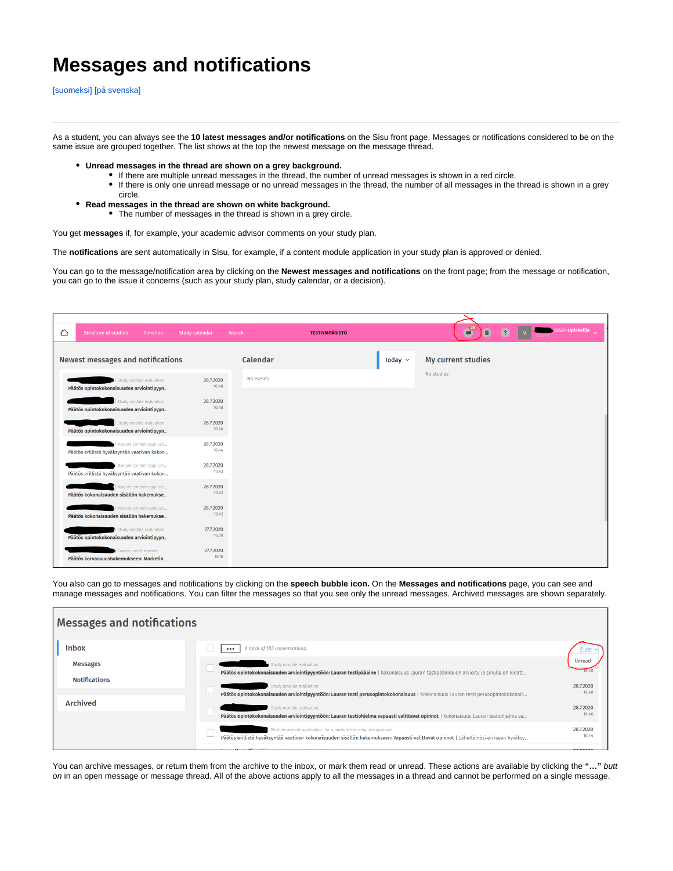## **Messages and notifications**

[\[suomeksi\]](https://wiki.aalto.fi/display/SIS/Viestit+ja+ilmoitukset) [\[på svenska\]](https://wiki.aalto.fi/display/SSV/Meddelanden+och+notifikationer)

As a student, you can always see the **10 latest messages and/or notifications** on the Sisu front page. Messages or notifications considered to be on the same issue are grouped together. The list shows at the top the newest message on the message thread.

- **Unread messages in the thread are shown on a grey background.**
	- If there are multiple unread messages in the thread, the number of unread messages is shown in a red circle.
		- If there is only one unread message or no unread messages in the thread, the number of all messages in the thread is shown in a grey circle.
- **Read messages in the thread are shown on white background.**
	- The number of messages in the thread is shown in a grey circle.

You get **messages** if, for example, your academic advisor comments on your study plan.

The **notifications** are sent automatically in Sisu, for example, if a content module application in your study plan is approved or denied.

You can go to the message/notification area by clicking on the **Newest messages and notifications** on the front page; from the message or notification, you can go to the issue it concerns (such as your study plan, study calendar, or a decision).

| ♦ | <b>Structure of studies</b><br><b>Timeline</b>                          | <b>Study calendar</b><br>Search |           | <b>TESTIYMPÄRISTÖ</b> |              | $\left( \frac{28}{2} \right)$<br>自 | $^{\circ}$ | TESTI-Opiskelija |
|---|-------------------------------------------------------------------------|---------------------------------|-----------|-----------------------|--------------|------------------------------------|------------|------------------|
|   | <b>Newest messages and notifications</b>                                |                                 | Calendar  |                       | Today $\sim$ | <b>My current studies</b>          |            |                  |
|   | Study module evaluation<br>Päätös opintokokonaisuuden arviointipyyn     | 28.7.2020<br>10.48              | No events |                       |              | No studies                         |            |                  |
|   | Study module evaluation<br>Päätös opintokokonaisuuden arviointipyyn     | 28,7,2020<br>10.48              |           |                       |              |                                    |            |                  |
|   | Study module evaluation<br>Päätös opintokokonaisuuden arviointipyyn     | 28.7.2020<br>10.46              |           |                       |              |                                    |            |                  |
|   | Module content applicati<br>Päätös erillistä hyväksyntää vaativan kokon | 28,7,2020<br>10.44              |           |                       |              |                                    |            |                  |
|   | Module content applicati<br>Päätös erillistä hyväksyntää vaativan kokon | 28.7.2020<br>10.43              |           |                       |              |                                    |            |                  |
|   | Module content applicati<br>Päätös kokonaisuuden sisällön hakemukse     | 28.7.2020<br>10.42              |           |                       |              |                                    |            |                  |
|   | Module content applicati<br>Päätös kokonaisuuden sisällön hakemukse     | 28.7.2020<br>10.42              |           |                       |              |                                    |            |                  |
|   | Study module evaluation<br>Päätös opintokokonaisuuden arviointipyyn     | 27.7.2020<br>16.20              |           |                       |              |                                    |            |                  |
|   | Course credit transfer<br>Päätös korvaavuushakemukseen: Marketin        | 27.7.2020<br>16.16              |           |                       |              |                                    |            |                  |

You also can go to messages and notifications by clicking on the **speech bubble icon.** On the **Messages and notifications** page, you can see and manage messages and notifications. You can filter the messages so that you see only the unread messages. Archived messages are shown separately.

| <b>Messages and notifications</b>       |                                                                                                                                                                                                        |                    |  |  |  |  |  |  |  |  |
|-----------------------------------------|--------------------------------------------------------------------------------------------------------------------------------------------------------------------------------------------------------|--------------------|--|--|--|--|--|--|--|--|
| <b>Inbox</b>                            | A total of 182 conversations.                                                                                                                                                                          |                    |  |  |  |  |  |  |  |  |
| <b>Messages</b><br><b>Notifications</b> | Study module evaluation<br>Päätös opintokokonaisuuden arviointipyyntöön: Lauran testipääaine   Kokonaisuus Lauran testipääaine on arvioitu ja sinulle on kirjatt                                       | Unrea              |  |  |  |  |  |  |  |  |
|                                         | Study module evaluation<br>Päätös opintokokonaisuuden arviointipyyntöön: Lauran testi perusopintokokonaisuus   Kokonaisuus Lauran testi perusopintokokonais                                            | 28,7,2020<br>10.48 |  |  |  |  |  |  |  |  |
| <b>Archived</b>                         | Study module evaluation<br>Päätös opintokokonaisuuden arviointipyyntöön: Lauran testiohjelma vapaasti valittavat opinnot   Kokonaisuus Lauran testiohjelma va                                          | 28,7,2020<br>10.46 |  |  |  |  |  |  |  |  |
|                                         | Module content application for a module that requires approval<br>Päätös erillistä hyväksyntää vaativan kokonaisuuden sisällön hakemukseen: Vapaasti valittavat opinnot   Lähettämäsi erikseen hyväksy | 28,7,2020<br>10.44 |  |  |  |  |  |  |  |  |
|                                         |                                                                                                                                                                                                        |                    |  |  |  |  |  |  |  |  |

You can archive messages, or return them from the archive to the inbox, or mark them read or unread. These actions are available by clicking the "..." butt on in an open message or message thread. All of the above actions apply to all the messages in a thread and cannot be performed on a single message.